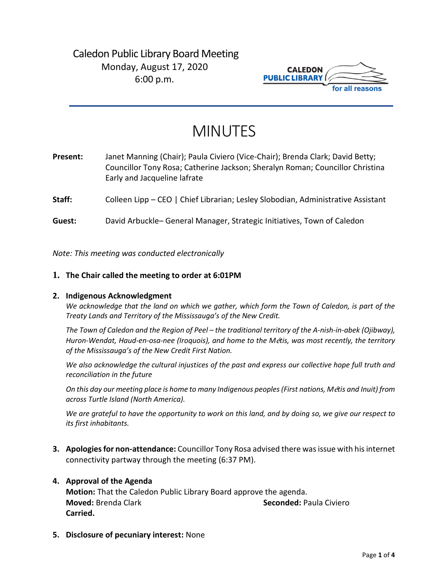## Caledon Public Library Board Meeting Monday, August 17, 2020 6:00 p.m.



# MINUTES

| Present: | Janet Manning (Chair); Paula Civiero (Vice-Chair); Brenda Clark; David Betty;<br>Councillor Tony Rosa; Catherine Jackson; Sheralyn Roman; Councillor Christina<br>Early and Jacqueline lafrate |
|----------|------------------------------------------------------------------------------------------------------------------------------------------------------------------------------------------------|
| Staff:   | Colleen Lipp – CEO   Chief Librarian; Lesley Slobodian, Administrative Assistant                                                                                                               |

**Guest:** David Arbuckle– General Manager, Strategic Initiatives, Town of Caledon

*Note: This meeting was conducted electronically*

#### **1. The Chair called the meeting to order at 6:01PM**

#### **2. Indigenous Acknowledgment**

*We acknowledge that the land on which we gather, which form the Town of Caledon, is part of the Treaty Lands and Territory of the Mississauga's of the New Credit.* 

*The Town of Caledon and the Region of Peel – the traditional territory of the A-nish-in-abek (Ojibway), Huron-Wendat, Haud-en-osa-nee (Iroquois), and home to the M*é*tis, was most recently, the territory of the Mississauga's of the New Credit First Nation.* 

*We also acknowledge the cultural injustices of the past and express our collective hope full truth and reconciliation in the future*

*On this day our meeting place is home to many Indigenous peoples (First nations, M*é*tis and Inuit) from across Turtle Island (North America).* 

*We are grateful to have the opportunity to work on this land, and by doing so, we give our respect to its first inhabitants.* 

**3. Apologies for non-attendance:** Councillor Tony Rosa advised there was issue with his internet connectivity partway through the meeting (6:37 PM).

#### **4. Approval of the Agenda**

**Motion:** That the Caledon Public Library Board approve the agenda. **Moved:** Brenda Clark **Seconded:** Paula Civiero **Carried.**

**5. Disclosure of pecuniary interest:** None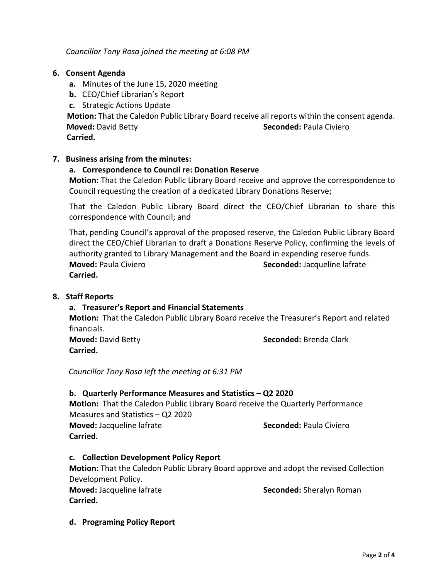*Councillor Tony Rosa joined the meeting at 6:08 PM*

#### **6. Consent Agenda**

- **a.** Minutes of the June 15, 2020 meeting
- **b.** CEO/Chief Librarian's Report
- **c.** Strategic Actions Update

**Motion:** That the Caledon Public Library Board receive all reports within the consent agenda.  **Moved:** David Betty **Seconded:** Paula Civiero

 **Carried.** 

#### **7. Business arising from the minutes:**

#### **a. Correspondence to Council re: Donation Reserve**

**Motion:** That the Caledon Public Library Board receive and approve the correspondence to Council requesting the creation of a dedicated Library Donations Reserve;

That the Caledon Public Library Board direct the CEO/Chief Librarian to share this correspondence with Council; and

That, pending Council's approval of the proposed reserve, the Caledon Public Library Board direct the CEO/Chief Librarian to draft a Donations Reserve Policy, confirming the levels of authority granted to Library Management and the Board in expending reserve funds. **Moved:** Paula Civiero **Seconded:** Jacqueline lafrate **Carried.**

#### **8. Staff Reports**

#### **a. Treasurer's Report and Financial Statements**

**Motion:** That the Caledon Public Library Board receive the Treasurer's Report and related financials.

**Carried.**

**Moved:** David Betty **Seconded:** Brenda Clark

*Councillor Tony Rosa left the meeting at 6:31 PM*

#### **b. Quarterly Performance Measures and Statistics – Q2 2020**

**Motion:** That the Caledon Public Library Board receive the Quarterly Performance Measures and Statistics – Q2 2020 **Moved:** Jacqueline lafrate **Seconded:** Paula Civiero **Carried.** 

#### **c. Collection Development Policy Report**

**Motion:** That the Caledon Public Library Board approve and adopt the revised Collection Development Policy.

**Carried.**

**Moved:** Jacqueline lafrate **Seconded:** Sheralyn Roman

**d. Programing Policy Report**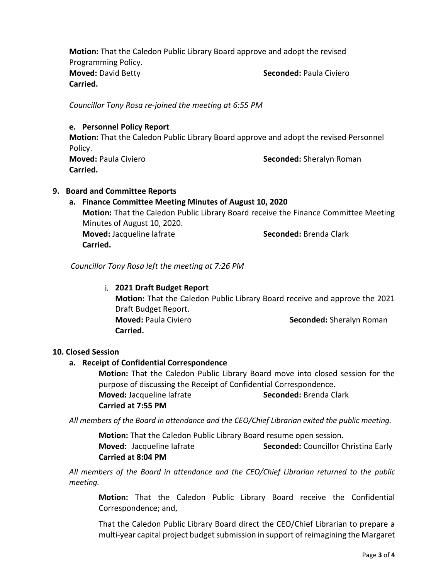**Motion:** That the Caledon Public Library Board approve and adopt the revised Programming Policy. **Moved:** David Betty **Seconded:** Paula Civiero **Carried.**

*Councillor Tony Rosa re-joined the meeting at 6:55 PM*

#### **e. Personnel Policy Report**

**Motion:** That the Caledon Public Library Board approve and adopt the revised Personnel Policy. **Moved:** Paula Civiero **Seconded:** Sheralyn Roman **Carried.** 

#### **9. Board and Committee Reports**

### **a. Finance Committee Meeting Minutes of August 10, 2020 Motion:** That the Caledon Public Library Board receive the Finance Committee Meeting Minutes of August 10, 2020. **Moved:** Jacqueline lafrate **Seconded:** Brenda Clark **Carried.**

*Councillor Tony Rosa left the meeting at 7:26 PM*

#### i. **2021 Draft Budget Report**

**Motion:** That the Caledon Public Library Board receive and approve the 2021 Draft Budget Report. **Moved:** Paula Civiero **Seconded:** Sheralyn Roman **Carried.** 

#### **10. Closed Session**

#### **a. Receipt of Confidential Correspondence**

**Motion:** That the Caledon Public Library Board move into closed session for the purpose of discussing the Receipt of Confidential Correspondence. **Moved:** Jacqueline lafrate **Seconded:** Brenda Clark **Carried at 7:55 PM**

*All members of the Board in attendance and the CEO/Chief Librarian exited the public meeting.*

**Motion:** That the Caledon Public Library Board resume open session. **Moved:** Jacqueline Iafrate **Seconded:** Councillor Christina Early **Carried at 8:04 PM**

*All members of the Board in attendance and the CEO/Chief Librarian returned to the public meeting.*

**Motion:** That the Caledon Public Library Board receive the Confidential Correspondence; and,

That the Caledon Public Library Board direct the CEO/Chief Librarian to prepare a multi-year capital project budget submission in support of reimagining the Margaret